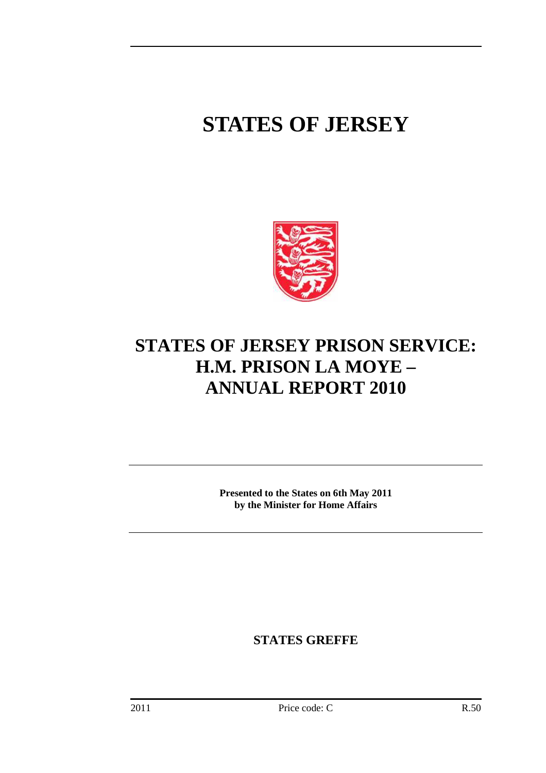# **STATES OF JERSEY**



# **STATES OF JERSEY PRISON SERVICE: H.M. PRISON LA MOYE – ANNUAL REPORT 2010**

**Presented to the States on 6th May 2011 by the Minister for Home Affairs** 

**STATES GREFFE**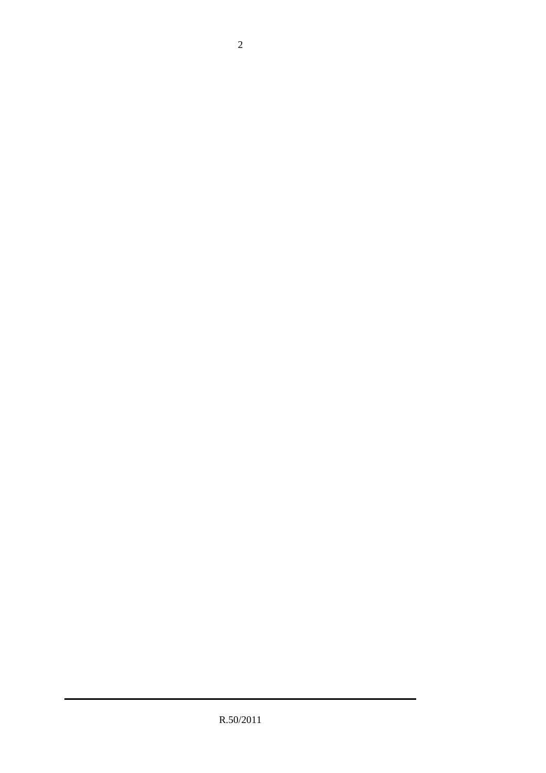2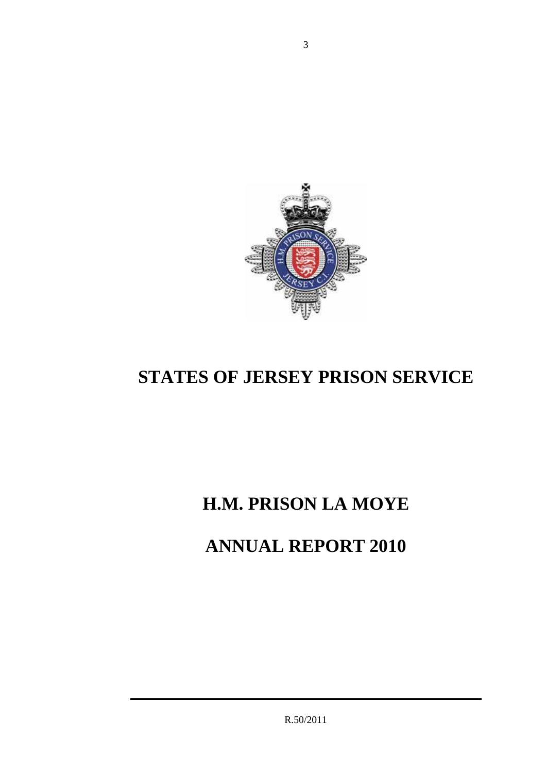

# **STATES OF JERSEY PRISON SERVICE**

# **H.M. PRISON LA MOYE**

# **ANNUAL REPORT 2010**

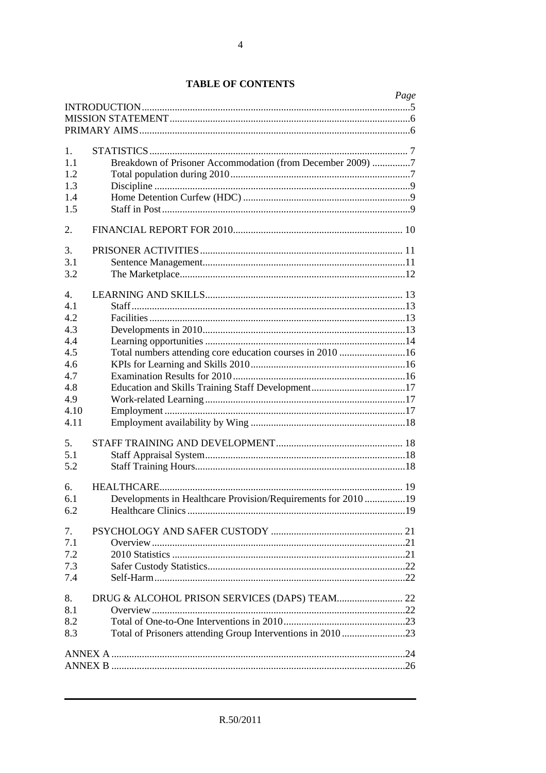|             |                                                               | Page |
|-------------|---------------------------------------------------------------|------|
|             |                                                               |      |
|             |                                                               |      |
|             |                                                               |      |
| 1.          |                                                               |      |
| 1.1         | Breakdown of Prisoner Accommodation (from December 2009) 7    |      |
| 1.2         |                                                               |      |
| 1.3         |                                                               |      |
| 1.4         |                                                               |      |
| 1.5         |                                                               |      |
| 2.          |                                                               |      |
| 3.          |                                                               |      |
| 3.1         |                                                               |      |
| 3.2         |                                                               |      |
|             |                                                               |      |
| 4.          |                                                               |      |
| 4.1         |                                                               |      |
| 4.2         |                                                               |      |
| 4.3         |                                                               |      |
| 4.4         |                                                               |      |
| 4.5         | Total numbers attending core education courses in 2010 16     |      |
| 4.6         |                                                               |      |
| 4.7         |                                                               |      |
| 4.8         |                                                               |      |
| 4.9<br>4.10 |                                                               |      |
| 4.11        |                                                               |      |
|             |                                                               |      |
| 5.          |                                                               |      |
| 5.1         |                                                               |      |
| 5.2         |                                                               |      |
|             |                                                               |      |
| 6.          |                                                               |      |
| 6.1<br>6.2  | Developments in Healthcare Provision/Requirements for 2010 19 |      |
|             |                                                               |      |
| 7.          |                                                               |      |
| 7.1         |                                                               |      |
| 7.2         |                                                               |      |
| 7.3         |                                                               |      |
| 7.4         |                                                               |      |
|             |                                                               |      |
| 8.<br>8.1   |                                                               |      |
| 8.2         |                                                               |      |
| 8.3         | Total of Prisoners attending Group Interventions in 2010 23   |      |
|             |                                                               |      |
|             |                                                               |      |
|             |                                                               |      |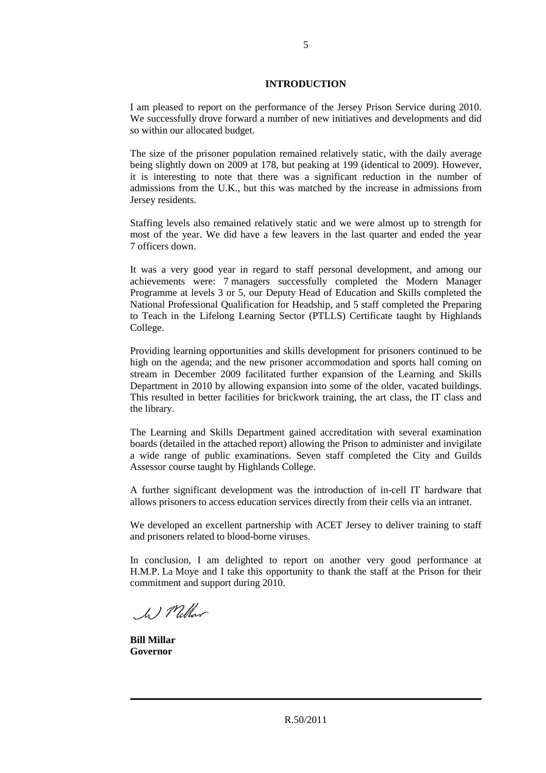#### **INTRODUCTION**

I am pleased to report on the performance of the Jersey Prison Service during 2010. We successfully drove forward a number of new initiatives and developments and did so within our allocated budget.

The size of the prisoner population remained relatively static, with the daily average being slightly down on 2009 at 178, but peaking at 199 (identical to 2009). However, it is interesting to note that there was a significant reduction in the number of admissions from the U.K., but this was matched by the increase in admissions from Jersey residents.

Staffing levels also remained relatively static and we were almost up to strength for most of the year. We did have a few leavers in the last quarter and ended the year 7 officers down.

It was a very good year in regard to staff personal development, and among our achievements were: 7 managers successfully completed the Modern Manager Programme at levels 3 or 5, our Deputy Head of Education and Skills completed the National Professional Qualification for Headship, and 5 staff completed the Preparing to Teach in the Lifelong Learning Sector (PTLLS) Certificate taught by Highlands College.

Providing learning opportunities and skills development for prisoners continued to be high on the agenda; and the new prisoner accommodation and sports hall coming on stream in December 2009 facilitated further expansion of the Learning and Skills Department in 2010 by allowing expansion into some of the older, vacated buildings. This resulted in better facilities for brickwork training, the art class, the IT class and the library.

The Learning and Skills Department gained accreditation with several examination boards (detailed in the attached report) allowing the Prison to administer and invigilate a wide range of public examinations. Seven staff completed the City and Guilds Assessor course taught by Highlands College.

A further significant development was the introduction of in-cell IT hardware that allows prisoners to access education services directly from their cells via an intranet.

We developed an excellent partnership with ACET Jersey to deliver training to staff and prisoners related to blood-borne viruses.

In conclusion, I am delighted to report on another very good performance at H.M.P. La Moye and I take this opportunity to thank the staff at the Prison for their commitment and support during 2010.

( 1) Millar

**Bill Millar Governor**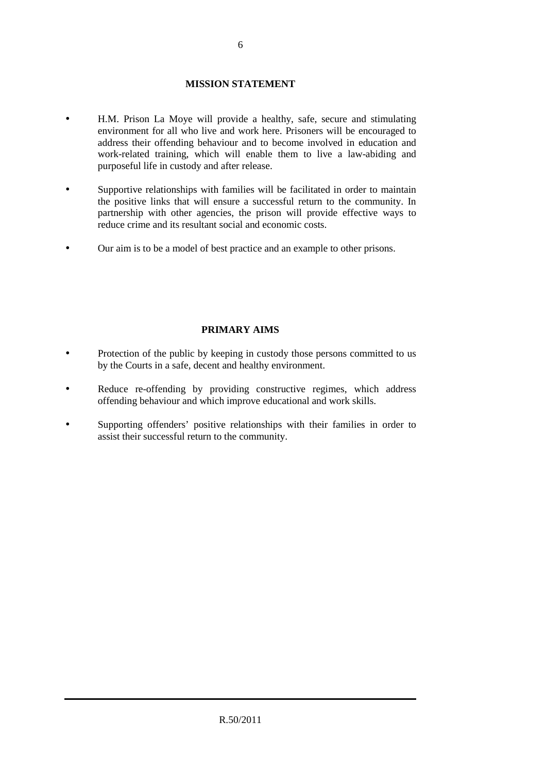#### **MISSION STATEMENT**

- H.M. Prison La Moye will provide a healthy, safe, secure and stimulating environment for all who live and work here. Prisoners will be encouraged to address their offending behaviour and to become involved in education and work-related training, which will enable them to live a law-abiding and purposeful life in custody and after release.
- Supportive relationships with families will be facilitated in order to maintain the positive links that will ensure a successful return to the community. In partnership with other agencies, the prison will provide effective ways to reduce crime and its resultant social and economic costs.
- Our aim is to be a model of best practice and an example to other prisons.

#### **PRIMARY AIMS**

- Protection of the public by keeping in custody those persons committed to us by the Courts in a safe, decent and healthy environment.
- Reduce re-offending by providing constructive regimes, which address offending behaviour and which improve educational and work skills.
- Supporting offenders' positive relationships with their families in order to assist their successful return to the community.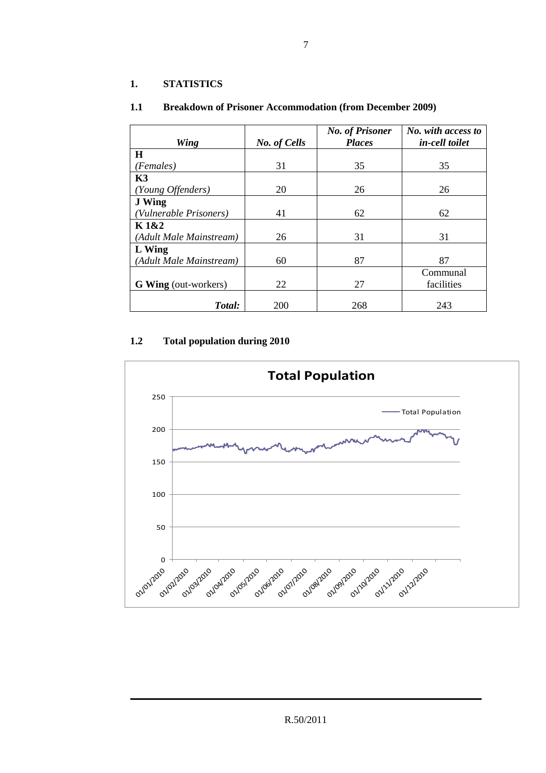#### **1. STATISTICS**

|                             |                     | <b>No. of Prisoner</b> | No. with access to |
|-----------------------------|---------------------|------------------------|--------------------|
| Wing                        | <b>No. of Cells</b> | <b>Places</b>          | in-cell toilet     |
| H                           |                     |                        |                    |
| (Females)                   | 31                  | 35                     | 35                 |
| K3                          |                     |                        |                    |
| (Young Offenders)           | 20                  | 26                     | 26                 |
| <b>J</b> Wing               |                     |                        |                    |
| (Vulnerable Prisoners)      | 41                  | 62                     | 62                 |
| K 1&2                       |                     |                        |                    |
| (Adult Male Mainstream)     | 26                  | 31                     | 31                 |
| L Wing                      |                     |                        |                    |
| (Adult Male Mainstream)     | 60                  | 87                     | 87                 |
|                             |                     |                        | Communal           |
| <b>G Wing</b> (out-workers) | 22                  | 27                     | facilities         |
| Total:                      | 200                 | 268                    | 243                |

# **1.1 Breakdown of Prisoner Accommodation (from December 2009)**

#### **1.2 Total population during 2010**

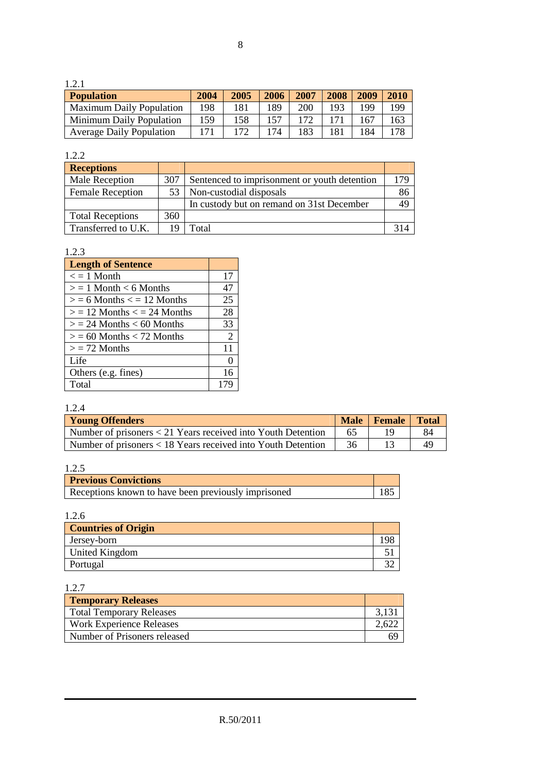| $\cdots$                        |      |      |      |      |      |      |      |
|---------------------------------|------|------|------|------|------|------|------|
| <b>Population</b>               | 2004 | 2005 | 2006 | 2007 | 2008 | 2009 | 2010 |
| <b>Maximum Daily Population</b> | 198  | 181  | 189  | 200  | 193  | 100  | 199  |
| Minimum Daily Population        | 159  | 158  |      | 72   |      |      | 163  |
| <b>Average Daily Population</b> | 171  | 72   | 174  | 83   | 181  | 184  | 78   |

8

## 1.2.2

| <b>Receptions</b>       |     |                                              |    |
|-------------------------|-----|----------------------------------------------|----|
| Male Reception          | 307 | Sentenced to imprisonment or youth detention | 79 |
| <b>Female Reception</b> | 53  | Non-custodial disposals                      | 86 |
|                         |     | In custody but on remand on 31st December    | 49 |
| <b>Total Receptions</b> | 360 |                                              |    |
| Transferred to U.K.     | 19  | Total                                        |    |

# 1.2.3

| <b>Length of Sentence</b>         |          |
|-----------------------------------|----------|
| $\epsilon = 1$ Month              | 17       |
| $\ge$ = 1 Month < 6 Months        | 47       |
| $>$ = 6 Months $\lt$ = 12 Months  | 25       |
| $>$ = 12 Months $\lt$ = 24 Months | 28       |
| $>$ = 24 Months < 60 Months       | 33       |
| $>$ = 60 Months < 72 Months       | 2        |
| $>$ = 72 Months                   | 11       |
| Life                              | $\Omega$ |
| Others (e.g. fines)               | 16       |
| Total                             |          |

# 1.2.4

| <b>Young Offenders</b>                                         | Male   Female   Total |    |
|----------------------------------------------------------------|-----------------------|----|
| Number of prisoners $<$ 21 Years received into Youth Detention |                       |    |
| Number of prisoners $<$ 18 Years received into Youth Detention |                       | 49 |

# 1.2.5

| <b>Previous Convictions</b>                         |  |
|-----------------------------------------------------|--|
| Receptions known to have been previously imprisoned |  |

1.2.6

| <b>Countries of Origin</b> |  |
|----------------------------|--|
| Jersey-born                |  |
| United Kingdom             |  |
| Portugal                   |  |

# 1.2.7

| .                            |  |
|------------------------------|--|
| <b>Temporary Releases</b>    |  |
| Total Temporary Releases     |  |
| Work Experience Releases     |  |
| Number of Prisoners released |  |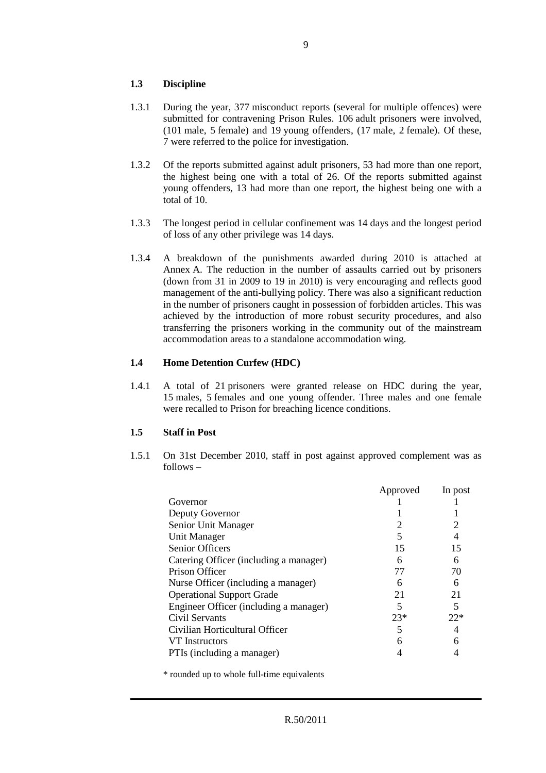#### **1.3 Discipline**

- 1.3.1 During the year, 377 misconduct reports (several for multiple offences) were submitted for contravening Prison Rules. 106 adult prisoners were involved, (101 male, 5 female) and 19 young offenders, (17 male, 2 female). Of these, 7 were referred to the police for investigation.
- 1.3.2 Of the reports submitted against adult prisoners, 53 had more than one report, the highest being one with a total of 26. Of the reports submitted against young offenders, 13 had more than one report, the highest being one with a total of 10.
- 1.3.3 The longest period in cellular confinement was 14 days and the longest period of loss of any other privilege was 14 days.
- 1.3.4 A breakdown of the punishments awarded during 2010 is attached at Annex A. The reduction in the number of assaults carried out by prisoners (down from 31 in 2009 to 19 in 2010) is very encouraging and reflects good management of the anti-bullying policy. There was also a significant reduction in the number of prisoners caught in possession of forbidden articles. This was achieved by the introduction of more robust security procedures, and also transferring the prisoners working in the community out of the mainstream accommodation areas to a standalone accommodation wing.

#### **1.4 Home Detention Curfew (HDC)**

1.4.1 A total of 21 prisoners were granted release on HDC during the year, 15 males, 5 females and one young offender. Three males and one female were recalled to Prison for breaching licence conditions.

#### **1.5 Staff in Post**

1.5.1 On 31st December 2010, staff in post against approved complement was as follows –

|                                        | Approved | In post |
|----------------------------------------|----------|---------|
| Governor                               |          |         |
| Deputy Governor                        |          |         |
| Senior Unit Manager                    | 2        | 2       |
| Unit Manager                           | 5        |         |
| <b>Senior Officers</b>                 | 15       | 15      |
| Catering Officer (including a manager) | 6        | 6       |
| Prison Officer                         | 77       | 70      |
| Nurse Officer (including a manager)    | 6        | 6       |
| <b>Operational Support Grade</b>       | 21       | 21      |
| Engineer Officer (including a manager) | 5        | 5       |
| Civil Servants                         | $23*$    | $22*$   |
| Civilian Horticultural Officer         | 5        | 4       |
| VT Instructors                         | 6        | 6       |
| PTIs (including a manager)             |          |         |

\* rounded up to whole full-time equivalents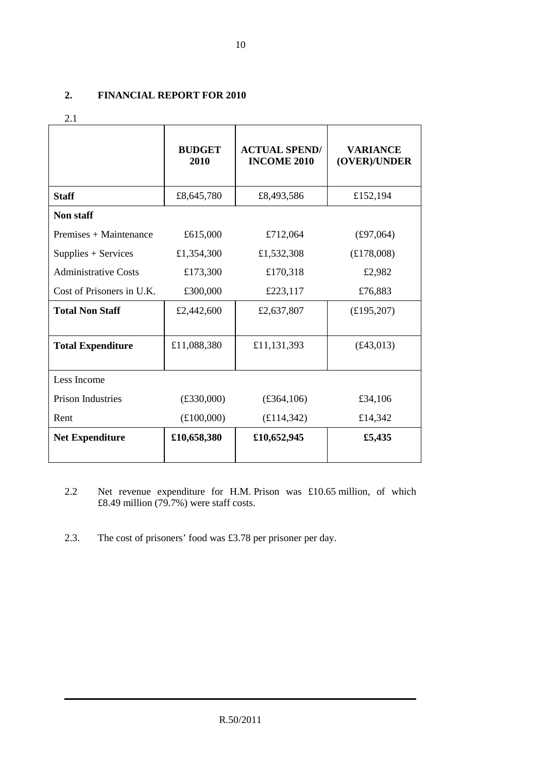## **2. FINANCIAL REPORT FOR 2010**

 $2.1$ 

| 2. l                        |                       |                                            |                                 |
|-----------------------------|-----------------------|--------------------------------------------|---------------------------------|
|                             | <b>BUDGET</b><br>2010 | <b>ACTUAL SPEND/</b><br><b>INCOME 2010</b> | <b>VARIANCE</b><br>(OVER)/UNDER |
| <b>Staff</b>                | £8,645,780            | £8,493,586                                 | £152,194                        |
| Non staff                   |                       |                                            |                                 |
| Premises + Maintenance      | £615,000              | £712,064                                   | (E97,064)                       |
| Supplies + Services         | £1,354,300            | £1,532,308                                 | (E178,008)                      |
| <b>Administrative Costs</b> | £173,300              | £170,318                                   | £2,982                          |
| Cost of Prisoners in U.K.   | £300,000              | £223,117                                   | £76,883                         |
| <b>Total Non Staff</b>      | £2,442,600            | £2,637,807                                 | (E195, 207)                     |
| <b>Total Expenditure</b>    | £11,088,380           | £11,131,393                                | (E43,013)                       |
| Less Income                 |                       |                                            |                                 |
| <b>Prison Industries</b>    | $(\pounds330,000)$    | $(\pounds364,106)$                         | £34,106                         |
| Rent                        | (E100,000)            | (E114, 342)                                | £14,342                         |
| <b>Net Expenditure</b>      | £10,658,380           | £10,652,945                                | £5,435                          |

2.2 Net revenue expenditure for H.M. Prison was £10.65 million, of which £8.49 million (79.7%) were staff costs.

2.3. The cost of prisoners' food was £3.78 per prisoner per day.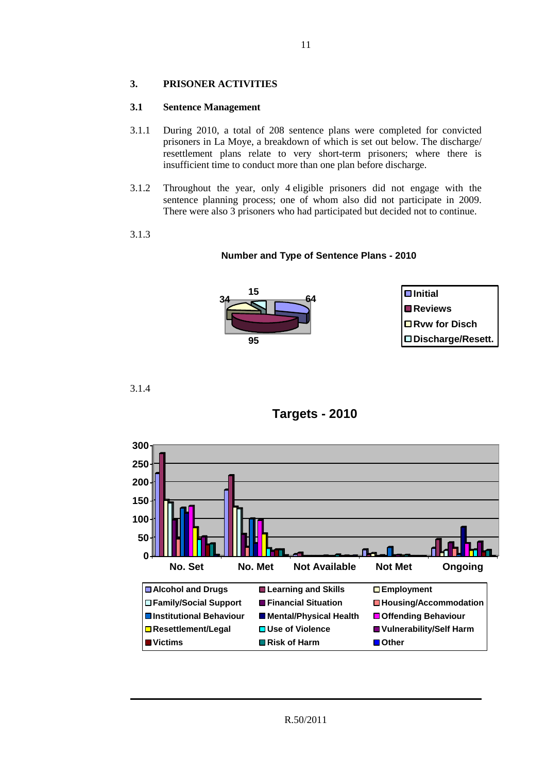#### **3. PRISONER ACTIVITIES**

#### **3.1 Sentence Management**

- 3.1.1 During 2010, a total of 208 sentence plans were completed for convicted prisoners in La Moye, a breakdown of which is set out below. The discharge/ resettlement plans relate to very short-term prisoners; where there is insufficient time to conduct more than one plan before discharge.
- 3.1.2 Throughout the year, only 4 eligible prisoners did not engage with the sentence planning process; one of whom also did not participate in 2009. There were also 3 prisoners who had participated but decided not to continue.

3.1.3

#### **Number and Type of Sentence Plans - 2010**





3.1.4



**Targets - 2010**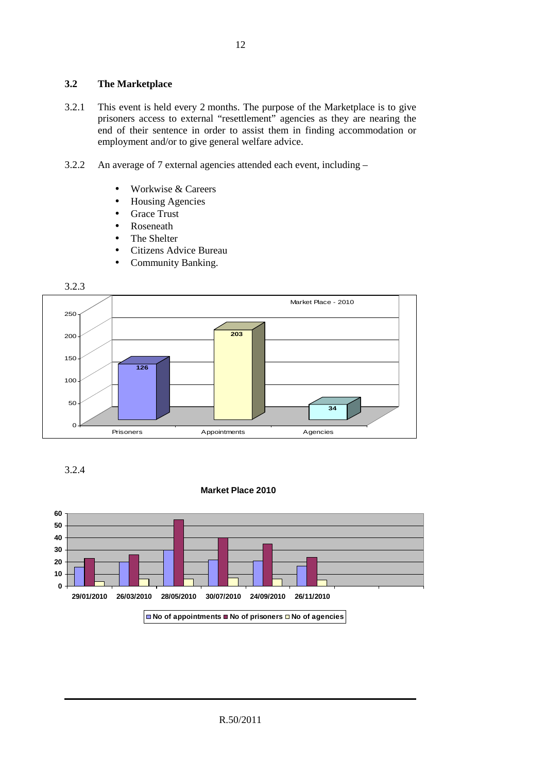#### **3.2 The Marketplace**

- 3.2.1 This event is held every 2 months. The purpose of the Marketplace is to give prisoners access to external "resettlement" agencies as they are nearing the end of their sentence in order to assist them in finding accommodation or employment and/or to give general welfare advice.
- 3.2.2 An average of 7 external agencies attended each event, including
	- Workwise & Careers
	- Housing Agencies
	- Grace Trust
	- Roseneath
	- The Shelter
	- Citizens Advice Bureau
	- Community Banking.





#### **Market Place 2010**

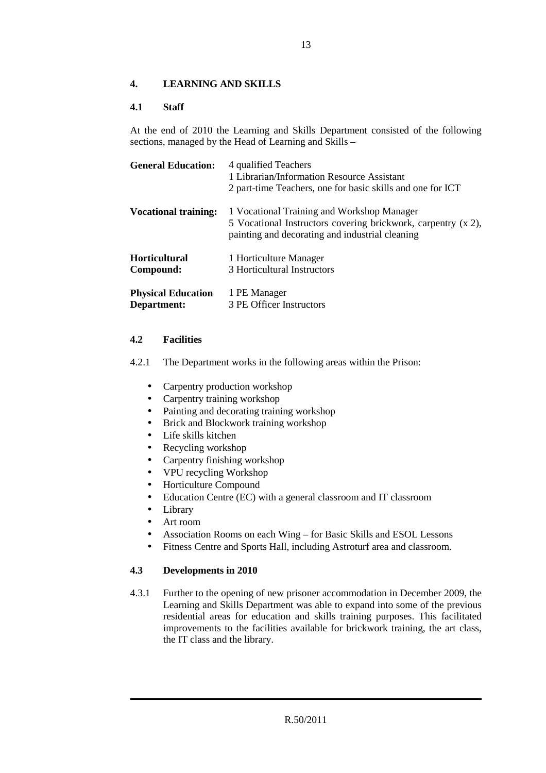#### **4. LEARNING AND SKILLS**

#### **4.1 Staff**

At the end of 2010 the Learning and Skills Department consisted of the following sections, managed by the Head of Learning and Skills –

| <b>General Education:</b>   | 4 qualified Teachers<br>1 Librarian/Information Resource Assistant<br>2 part-time Teachers, one for basic skills and one for ICT                               |
|-----------------------------|----------------------------------------------------------------------------------------------------------------------------------------------------------------|
| <b>Vocational training:</b> | 1 Vocational Training and Workshop Manager<br>5 Vocational Instructors covering brickwork, carpentry (x 2),<br>painting and decorating and industrial cleaning |
| <b>Horticultural</b>        | 1 Horticulture Manager                                                                                                                                         |
| Compound:                   | 3 Horticultural Instructors                                                                                                                                    |
| <b>Physical Education</b>   | 1 PE Manager                                                                                                                                                   |
| Department:                 | 3 PE Officer Instructors                                                                                                                                       |

### **4.2 Facilities**

- 4.2.1 The Department works in the following areas within the Prison:
	- Carpentry production workshop
	- Carpentry training workshop
	- Painting and decorating training workshop
	- Brick and Blockwork training workshop
	- Life skills kitchen
	- Recycling workshop
	- Carpentry finishing workshop
	- VPU recycling Workshop
	- Horticulture Compound
	- Education Centre (EC) with a general classroom and IT classroom
	- **Library**
	- Art room
	- Association Rooms on each Wing for Basic Skills and ESOL Lessons
	- Fitness Centre and Sports Hall, including Astroturf area and classroom.

#### **4.3 Developments in 2010**

4.3.1 Further to the opening of new prisoner accommodation in December 2009, the Learning and Skills Department was able to expand into some of the previous residential areas for education and skills training purposes. This facilitated improvements to the facilities available for brickwork training, the art class, the IT class and the library.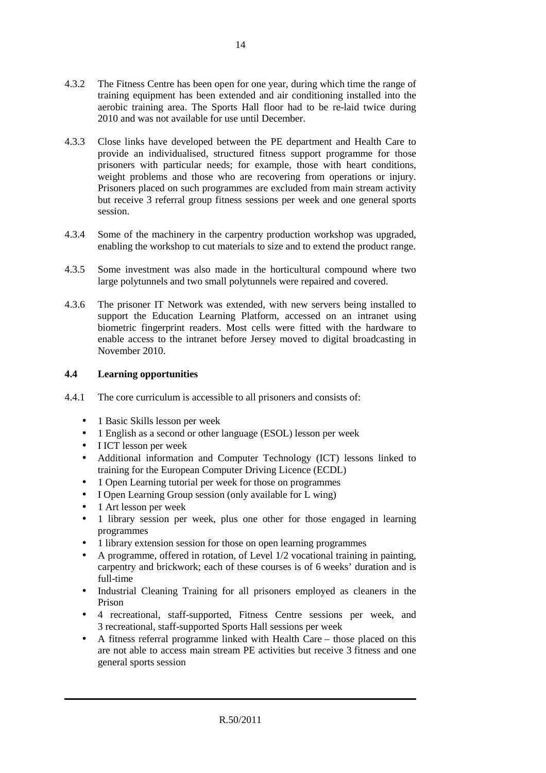- 4.3.2 The Fitness Centre has been open for one year, during which time the range of training equipment has been extended and air conditioning installed into the aerobic training area. The Sports Hall floor had to be re-laid twice during 2010 and was not available for use until December.
- 4.3.3 Close links have developed between the PE department and Health Care to provide an individualised, structured fitness support programme for those prisoners with particular needs; for example, those with heart conditions, weight problems and those who are recovering from operations or injury. Prisoners placed on such programmes are excluded from main stream activity but receive 3 referral group fitness sessions per week and one general sports session.
- 4.3.4 Some of the machinery in the carpentry production workshop was upgraded, enabling the workshop to cut materials to size and to extend the product range.
- 4.3.5 Some investment was also made in the horticultural compound where two large polytunnels and two small polytunnels were repaired and covered.
- 4.3.6 The prisoner IT Network was extended, with new servers being installed to support the Education Learning Platform, accessed on an intranet using biometric fingerprint readers. Most cells were fitted with the hardware to enable access to the intranet before Jersey moved to digital broadcasting in November 2010.

#### **4.4 Learning opportunities**

- 4.4.1 The core curriculum is accessible to all prisoners and consists of:
	- 1 Basic Skills lesson per week
	- 1 English as a second or other language (ESOL) lesson per week
	- I ICT lesson per week
	- Additional information and Computer Technology (ICT) lessons linked to training for the European Computer Driving Licence (ECDL)
	- 1 Open Learning tutorial per week for those on programmes
	- I Open Learning Group session (only available for L wing)
	- 1 Art lesson per week
	- 1 library session per week, plus one other for those engaged in learning programmes
	- 1 library extension session for those on open learning programmes
	- A programme, offered in rotation, of Level 1/2 vocational training in painting, carpentry and brickwork; each of these courses is of 6 weeks' duration and is full-time
	- Industrial Cleaning Training for all prisoners employed as cleaners in the Prison
	- 4 recreational, staff-supported, Fitness Centre sessions per week, and 3 recreational, staff-supported Sports Hall sessions per week
	- A fitness referral programme linked with Health Care those placed on this are not able to access main stream PE activities but receive 3 fitness and one general sports session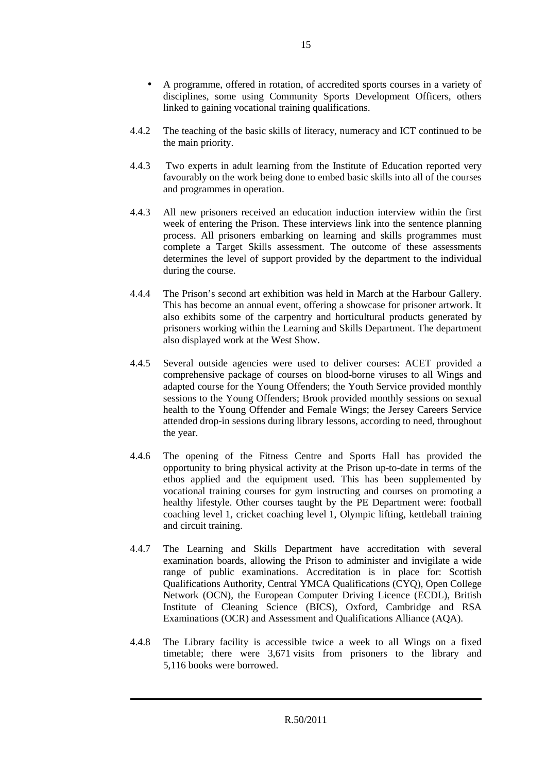- A programme, offered in rotation, of accredited sports courses in a variety of disciplines, some using Community Sports Development Officers, others linked to gaining vocational training qualifications.
- 4.4.2 The teaching of the basic skills of literacy, numeracy and ICT continued to be the main priority.
- 4.4.3 Two experts in adult learning from the Institute of Education reported very favourably on the work being done to embed basic skills into all of the courses and programmes in operation.
- 4.4.3 All new prisoners received an education induction interview within the first week of entering the Prison. These interviews link into the sentence planning process. All prisoners embarking on learning and skills programmes must complete a Target Skills assessment. The outcome of these assessments determines the level of support provided by the department to the individual during the course.
- 4.4.4 The Prison's second art exhibition was held in March at the Harbour Gallery. This has become an annual event, offering a showcase for prisoner artwork. It also exhibits some of the carpentry and horticultural products generated by prisoners working within the Learning and Skills Department. The department also displayed work at the West Show.
- 4.4.5 Several outside agencies were used to deliver courses: ACET provided a comprehensive package of courses on blood-borne viruses to all Wings and adapted course for the Young Offenders; the Youth Service provided monthly sessions to the Young Offenders; Brook provided monthly sessions on sexual health to the Young Offender and Female Wings; the Jersey Careers Service attended drop-in sessions during library lessons, according to need, throughout the year.
- 4.4.6 The opening of the Fitness Centre and Sports Hall has provided the opportunity to bring physical activity at the Prison up-to-date in terms of the ethos applied and the equipment used. This has been supplemented by vocational training courses for gym instructing and courses on promoting a healthy lifestyle. Other courses taught by the PE Department were: football coaching level 1, cricket coaching level 1, Olympic lifting, kettleball training and circuit training.
- 4.4.7 The Learning and Skills Department have accreditation with several examination boards, allowing the Prison to administer and invigilate a wide range of public examinations. Accreditation is in place for: Scottish Qualifications Authority, Central YMCA Qualifications (CYQ), Open College Network (OCN), the European Computer Driving Licence (ECDL), British Institute of Cleaning Science (BICS), Oxford, Cambridge and RSA Examinations (OCR) and Assessment and Qualifications Alliance (AQA).
- 4.4.8 The Library facility is accessible twice a week to all Wings on a fixed timetable; there were 3,671 visits from prisoners to the library and 5,116 books were borrowed.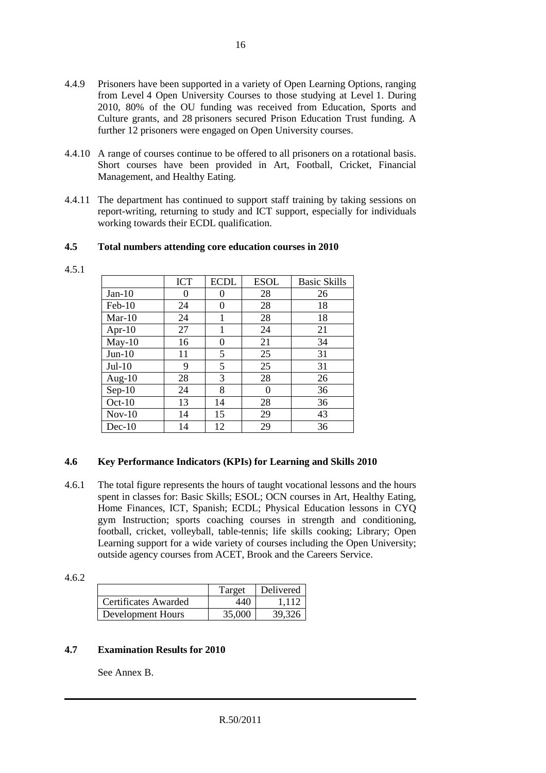- 4.4.9 Prisoners have been supported in a variety of Open Learning Options, ranging from Level 4 Open University Courses to those studying at Level 1. During 2010, 80% of the OU funding was received from Education, Sports and Culture grants, and 28 prisoners secured Prison Education Trust funding. A further 12 prisoners were engaged on Open University courses.
- 4.4.10 A range of courses continue to be offered to all prisoners on a rotational basis. Short courses have been provided in Art, Football, Cricket, Financial Management, and Healthy Eating.
- 4.4.11 The department has continued to support staff training by taking sessions on report-writing, returning to study and ICT support, especially for individuals working towards their ECDL qualification.

#### **4.5 Total numbers attending core education courses in 2010**

| I            |  |
|--------------|--|
| ۰.<br>v<br>× |  |

|           | <b>ICT</b> | <b>ECDL</b> | <b>ESOL</b> | <b>Basic Skills</b> |
|-----------|------------|-------------|-------------|---------------------|
| $Jan-10$  | $\theta$   |             | 28          | 26                  |
| $Feb-10$  | 24         | 0           | 28          | 18                  |
| $Mar-10$  | 24         | 1           | 28          | 18                  |
| Apr- $10$ | 27         | 1           | 24          | 21                  |
| $May-10$  | 16         | 0           | 21          | 34                  |
| $Jun-10$  | 11         | 5           | 25          | 31                  |
| $Jul-10$  | 9          | 5           | 25          | 31                  |
| Aug- $10$ | 28         | 3           | 28          | 26                  |
| $Sep-10$  | 24         | 8           | $\Omega$    | 36                  |
| $Oct-10$  | 13         | 14          | 28          | 36                  |
| $Nov-10$  | 14         | 15          | 29          | 43                  |
| $Dec-10$  | 14         | 12          | 29          | 36                  |

#### **4.6 Key Performance Indicators (KPIs) for Learning and Skills 2010**

4.6.1 The total figure represents the hours of taught vocational lessons and the hours spent in classes for: Basic Skills; ESOL; OCN courses in Art, Healthy Eating, Home Finances, ICT, Spanish; ECDL; Physical Education lessons in CYQ gym Instruction; sports coaching courses in strength and conditioning, football, cricket, volleyball, table-tennis; life skills cooking; Library; Open Learning support for a wide variety of courses including the Open University; outside agency courses from ACET, Brook and the Careers Service.

|                      | Target | Delivered |
|----------------------|--------|-----------|
| Certificates Awarded | 440    | 1 1 1 2   |
| Development Hours    | 35,000 | 39.326    |

#### **4.7 Examination Results for 2010**

See Annex B.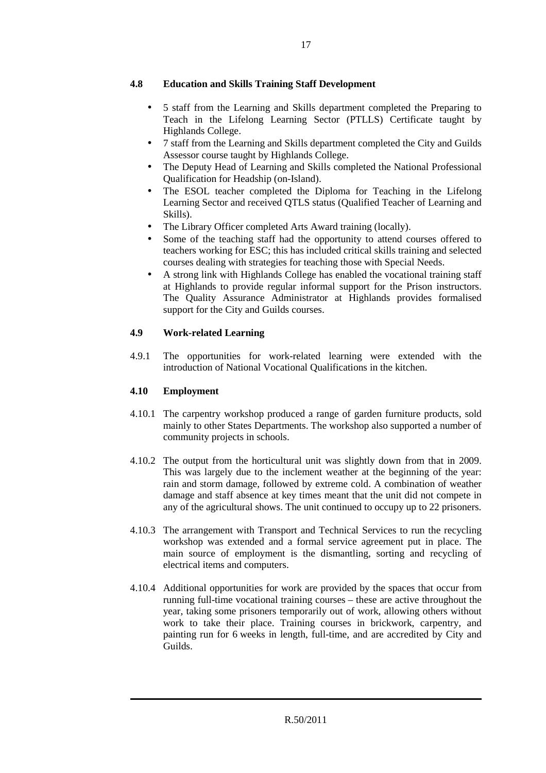# **4.8 Education and Skills Training Staff Development**

- 5 staff from the Learning and Skills department completed the Preparing to Teach in the Lifelong Learning Sector (PTLLS) Certificate taught by Highlands College.
- 7 staff from the Learning and Skills department completed the City and Guilds Assessor course taught by Highlands College.
- The Deputy Head of Learning and Skills completed the National Professional Qualification for Headship (on-Island).
- The ESOL teacher completed the Diploma for Teaching in the Lifelong Learning Sector and received QTLS status (Qualified Teacher of Learning and Skills).
- The Library Officer completed Arts Award training (locally).
- Some of the teaching staff had the opportunity to attend courses offered to teachers working for ESC; this has included critical skills training and selected courses dealing with strategies for teaching those with Special Needs.
- A strong link with Highlands College has enabled the vocational training staff at Highlands to provide regular informal support for the Prison instructors. The Quality Assurance Administrator at Highlands provides formalised support for the City and Guilds courses.

# **4.9 Work-related Learning**

4.9.1 The opportunities for work-related learning were extended with the introduction of National Vocational Qualifications in the kitchen.

# **4.10 Employment**

- 4.10.1 The carpentry workshop produced a range of garden furniture products, sold mainly to other States Departments. The workshop also supported a number of community projects in schools.
- 4.10.2 The output from the horticultural unit was slightly down from that in 2009. This was largely due to the inclement weather at the beginning of the year: rain and storm damage, followed by extreme cold. A combination of weather damage and staff absence at key times meant that the unit did not compete in any of the agricultural shows. The unit continued to occupy up to 22 prisoners.
- 4.10.3 The arrangement with Transport and Technical Services to run the recycling workshop was extended and a formal service agreement put in place. The main source of employment is the dismantling, sorting and recycling of electrical items and computers.
- 4.10.4 Additional opportunities for work are provided by the spaces that occur from running full-time vocational training courses – these are active throughout the year, taking some prisoners temporarily out of work, allowing others without work to take their place. Training courses in brickwork, carpentry, and painting run for 6 weeks in length, full-time, and are accredited by City and Guilds.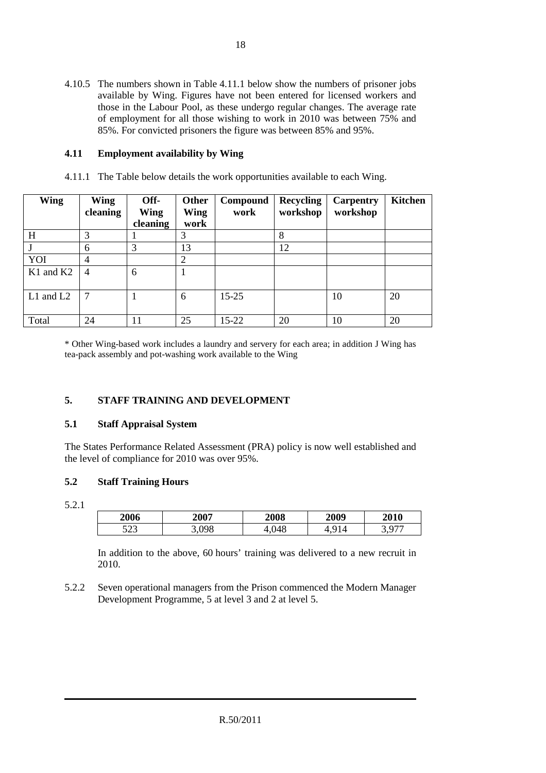4.10.5 The numbers shown in Table 4.11.1 below show the numbers of prisoner jobs available by Wing. Figures have not been entered for licensed workers and those in the Labour Pool, as these undergo regular changes. The average rate of employment for all those wishing to work in 2010 was between 75% and 85%. For convicted prisoners the figure was between 85% and 95%.

#### **4.11 Employment availability by Wing**

4.11.1 The Table below details the work opportunities available to each Wing.

| <b>Wing</b>   | Wing<br>cleaning | Off-<br>Wing | <b>Other</b><br><b>Wing</b> | Compound<br>work | <b>Recycling</b><br>workshop | Carpentry<br>workshop | <b>Kitchen</b> |
|---------------|------------------|--------------|-----------------------------|------------------|------------------------------|-----------------------|----------------|
|               |                  | cleaning     | work                        |                  |                              |                       |                |
| H             | 3                |              | 3                           |                  | 8                            |                       |                |
|               | 6                | 3            | 13                          |                  | 12                           |                       |                |
| YOI           | $\overline{4}$   |              | 2                           |                  |                              |                       |                |
| $K1$ and $K2$ | $\overline{4}$   | 6            | 1                           |                  |                              |                       |                |
| $L1$ and $L2$ | $\tau$           |              | 6                           | $15 - 25$        |                              | 10                    | 20             |
| Total         | 24               | 11           | 25                          | $15 - 22$        | 20                           | 10                    | 20             |

\* Other Wing-based work includes a laundry and servery for each area; in addition J Wing has tea-pack assembly and pot-washing work available to the Wing

#### **5. STAFF TRAINING AND DEVELOPMENT**

#### **5.1 Staff Appraisal System**

The States Performance Related Assessment (PRA) policy is now well established and the level of compliance for 2010 was over 95%.

#### **5.2 Staff Training Hours**

5.2.1

| 2006         | 2007 | 2008 | 2009 | 2010            |
|--------------|------|------|------|-----------------|
| د م<br>ر _ ر | ∩۵ς  | 048  |      | $\sqrt{2}$<br>ч |

 In addition to the above, 60 hours' training was delivered to a new recruit in 2010.

5.2.2 Seven operational managers from the Prison commenced the Modern Manager Development Programme, 5 at level 3 and 2 at level 5.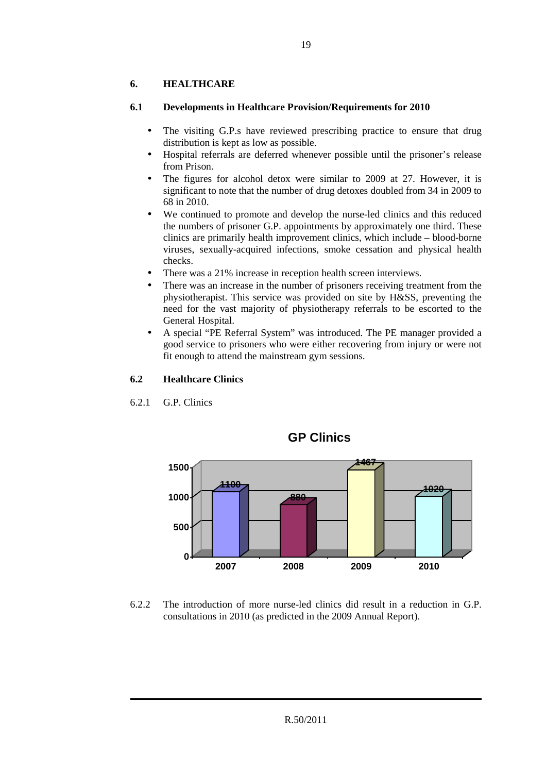#### **6. HEALTHCARE**

#### **6.1 Developments in Healthcare Provision/Requirements for 2010**

- The visiting G.P.s have reviewed prescribing practice to ensure that drug distribution is kept as low as possible.
- Hospital referrals are deferred whenever possible until the prisoner's release from Prison.
- The figures for alcohol detox were similar to 2009 at 27. However, it is significant to note that the number of drug detoxes doubled from 34 in 2009 to 68 in 2010.
- We continued to promote and develop the nurse-led clinics and this reduced the numbers of prisoner G.P. appointments by approximately one third. These clinics are primarily health improvement clinics, which include – blood-borne viruses, sexually-acquired infections, smoke cessation and physical health checks.
- There was a 21% increase in reception health screen interviews.
- There was an increase in the number of prisoners receiving treatment from the physiotherapist. This service was provided on site by H&SS, preventing the need for the vast majority of physiotherapy referrals to be escorted to the General Hospital.
- A special "PE Referral System" was introduced. The PE manager provided a good service to prisoners who were either recovering from injury or were not fit enough to attend the mainstream gym sessions.

#### **6.2 Healthcare Clinics**

6.2.1 G.P. Clinics



**GP Clinics**

6.2.2 The introduction of more nurse-led clinics did result in a reduction in G.P. consultations in 2010 (as predicted in the 2009 Annual Report).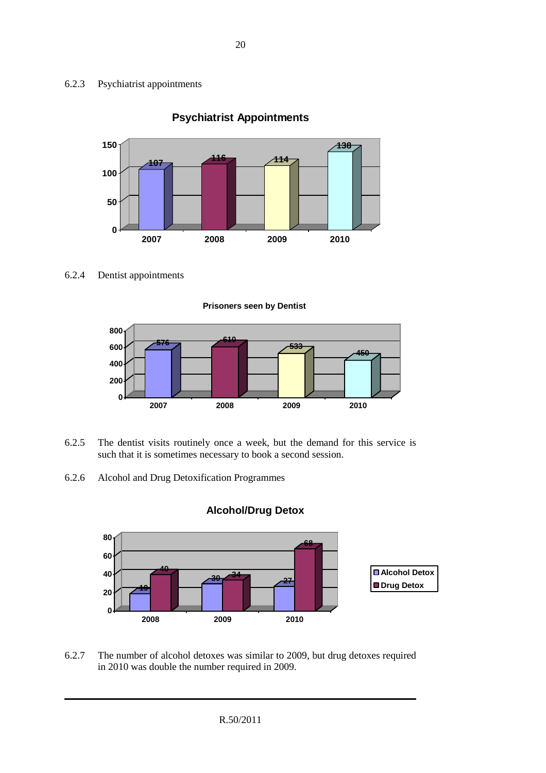

# **Psychiatrist Appointments**

#### 6.2.4 Dentist appointments

**Prisoners seen by Dentist**



6.2.5 The dentist visits routinely once a week, but the demand for this service is such that it is sometimes necessary to book a second session.

6.2.6 Alcohol and Drug Detoxification Programmes



## **Alcohol/Drug Detox**

6.2.7 The number of alcohol detoxes was similar to 2009, but drug detoxes required in 2010 was double the number required in 2009.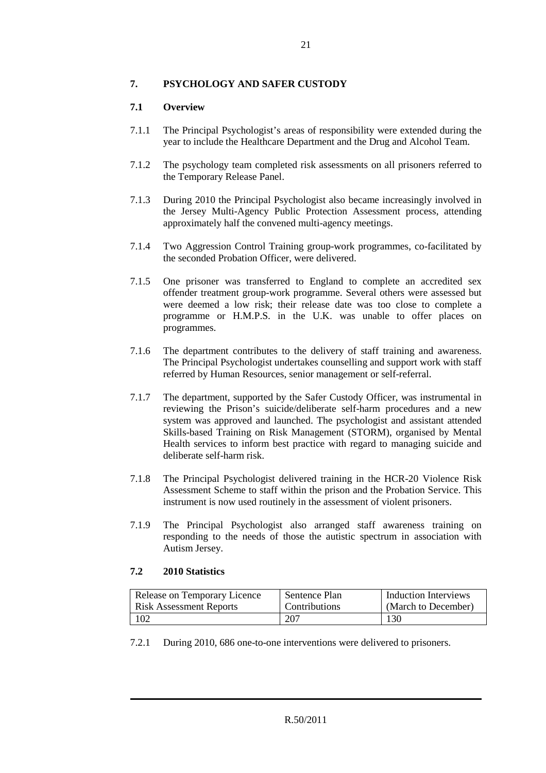#### **7. PSYCHOLOGY AND SAFER CUSTODY**

#### **7.1 Overview**

- 7.1.1 The Principal Psychologist's areas of responsibility were extended during the year to include the Healthcare Department and the Drug and Alcohol Team.
- 7.1.2 The psychology team completed risk assessments on all prisoners referred to the Temporary Release Panel.
- 7.1.3 During 2010 the Principal Psychologist also became increasingly involved in the Jersey Multi-Agency Public Protection Assessment process, attending approximately half the convened multi-agency meetings.
- 7.1.4 Two Aggression Control Training group-work programmes, co-facilitated by the seconded Probation Officer, were delivered.
- 7.1.5 One prisoner was transferred to England to complete an accredited sex offender treatment group-work programme. Several others were assessed but were deemed a low risk; their release date was too close to complete a programme or H.M.P.S. in the U.K. was unable to offer places on programmes.
- 7.1.6 The department contributes to the delivery of staff training and awareness. The Principal Psychologist undertakes counselling and support work with staff referred by Human Resources, senior management or self-referral.
- 7.1.7 The department, supported by the Safer Custody Officer, was instrumental in reviewing the Prison's suicide/deliberate self-harm procedures and a new system was approved and launched. The psychologist and assistant attended Skills-based Training on Risk Management (STORM), organised by Mental Health services to inform best practice with regard to managing suicide and deliberate self-harm risk.
- 7.1.8 The Principal Psychologist delivered training in the HCR-20 Violence Risk Assessment Scheme to staff within the prison and the Probation Service. This instrument is now used routinely in the assessment of violent prisoners.
- 7.1.9 The Principal Psychologist also arranged staff awareness training on responding to the needs of those the autistic spectrum in association with Autism Jersey.

#### **7.2 2010 Statistics**

| Release on Temporary Licence   | Sentence Plan | Induction Interviews |
|--------------------------------|---------------|----------------------|
| <b>Risk Assessment Reports</b> | Contributions | (March to December)  |
| 102                            | -207          | 130                  |

7.2.1 During 2010, 686 one-to-one interventions were delivered to prisoners.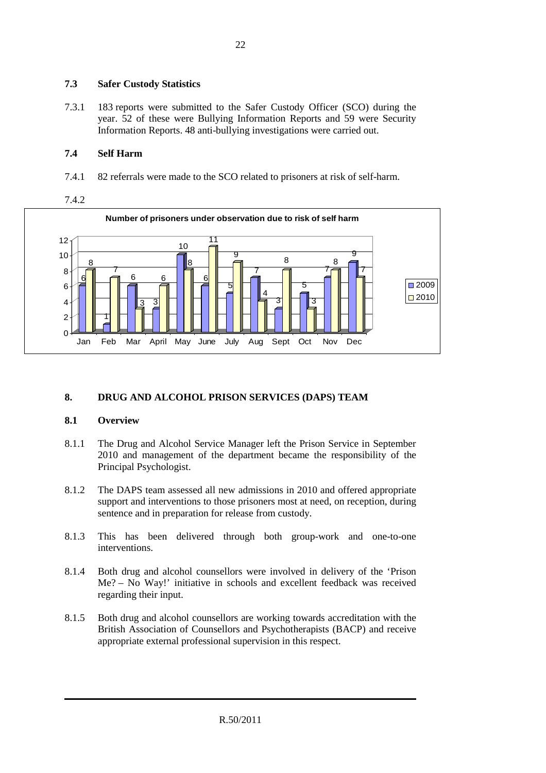#### **7.3 Safer Custody Statistics**

7.3.1 183 reports were submitted to the Safer Custody Officer (SCO) during the year. 52 of these were Bullying Information Reports and 59 were Security Information Reports. 48 anti-bullying investigations were carried out.

#### **7.4 Self Harm**

- 7.4.1 82 referrals were made to the SCO related to prisoners at risk of self-harm.
- 7.4.2



#### **8. DRUG AND ALCOHOL PRISON SERVICES (DAPS) TEAM**

#### **8.1 Overview**

- 8.1.1 The Drug and Alcohol Service Manager left the Prison Service in September 2010 and management of the department became the responsibility of the Principal Psychologist.
- 8.1.2 The DAPS team assessed all new admissions in 2010 and offered appropriate support and interventions to those prisoners most at need, on reception, during sentence and in preparation for release from custody.
- 8.1.3 This has been delivered through both group-work and one-to-one interventions.
- 8.1.4 Both drug and alcohol counsellors were involved in delivery of the 'Prison Me? – No Way!' initiative in schools and excellent feedback was received regarding their input.
- 8.1.5 Both drug and alcohol counsellors are working towards accreditation with the British Association of Counsellors and Psychotherapists (BACP) and receive appropriate external professional supervision in this respect.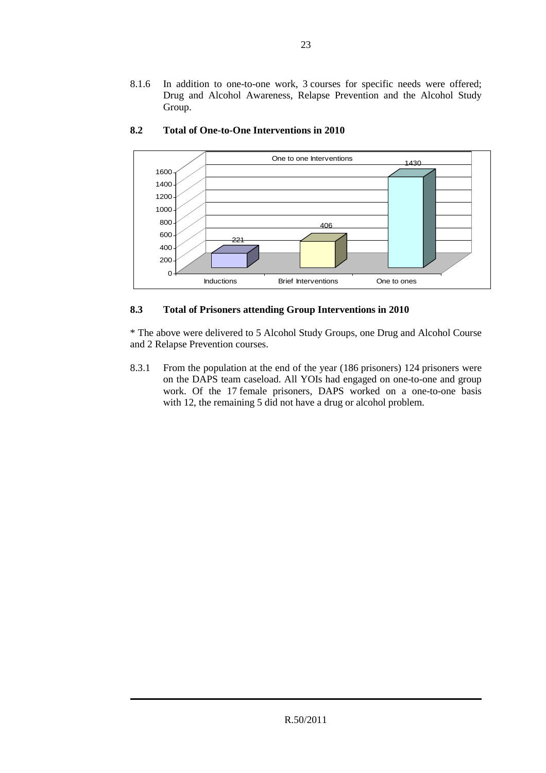8.1.6 In addition to one-to-one work, 3 courses for specific needs were offered; Drug and Alcohol Awareness, Relapse Prevention and the Alcohol Study Group.



#### **8.2 Total of One-to-One Interventions in 2010**

#### **8.3 Total of Prisoners attending Group Interventions in 2010**

\* The above were delivered to 5 Alcohol Study Groups, one Drug and Alcohol Course and 2 Relapse Prevention courses.

8.3.1 From the population at the end of the year (186 prisoners) 124 prisoners were on the DAPS team caseload. All YOIs had engaged on one-to-one and group work. Of the 17 female prisoners, DAPS worked on a one-to-one basis with 12, the remaining 5 did not have a drug or alcohol problem.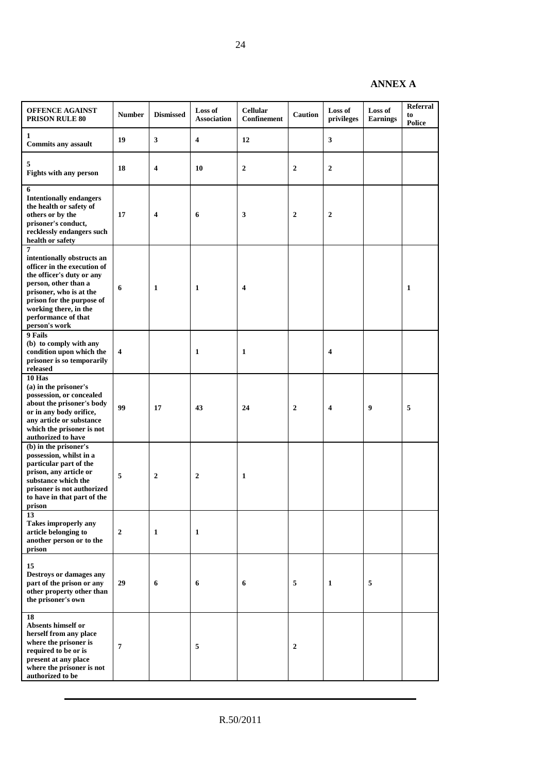#### **ANNEX A**

| <b>OFFENCE AGAINST</b><br><b>PRISON RULE 80</b>                                                                                                                                                                                              | <b>Number</b>           | <b>Dismissed</b>        | Loss of<br><b>Association</b> | <b>Cellular</b><br>Confinement | <b>Caution</b>   | Loss of<br>privileges   | Loss of<br><b>Earnings</b> | Referral<br>to<br><b>Police</b> |
|----------------------------------------------------------------------------------------------------------------------------------------------------------------------------------------------------------------------------------------------|-------------------------|-------------------------|-------------------------------|--------------------------------|------------------|-------------------------|----------------------------|---------------------------------|
| 1<br><b>Commits any assault</b>                                                                                                                                                                                                              | 19                      | $\mathbf{3}$            | $\overline{\mathbf{4}}$       | 12                             |                  | $\mathbf{3}$            |                            |                                 |
| 5<br>Fights with any person                                                                                                                                                                                                                  | 18                      | $\overline{\mathbf{4}}$ | 10                            | $\overline{2}$                 | $\overline{2}$   | $\boldsymbol{2}$        |                            |                                 |
| 6<br><b>Intentionally endangers</b><br>the health or safety of<br>others or by the<br>prisoner's conduct,<br>recklessly endangers such<br>health or safety                                                                                   | 17                      | $\overline{\mathbf{4}}$ | 6                             | 3                              | $\boldsymbol{2}$ | $\boldsymbol{2}$        |                            |                                 |
| 7<br>intentionally obstructs an<br>officer in the execution of<br>the officer's duty or any<br>person, other than a<br>prisoner, who is at the<br>prison for the purpose of<br>working there, in the<br>performance of that<br>person's work | 6                       | $\mathbf{1}$            | 1                             | 4                              |                  |                         |                            | $\mathbf{1}$                    |
| 9 Fails<br>(b) to comply with any<br>condition upon which the<br>prisoner is so temporarily<br>released                                                                                                                                      | $\overline{\mathbf{4}}$ |                         | $\mathbf{1}$                  | $\mathbf{1}$                   |                  | $\overline{\mathbf{4}}$ |                            |                                 |
| 10 Has<br>(a) in the prisoner's<br>possession, or concealed<br>about the prisoner's body<br>or in any body orifice,<br>any article or substance<br>which the prisoner is not<br>authorized to have                                           | 99                      | 17                      | 43                            | 24                             | $\overline{2}$   | 4                       | $\boldsymbol{9}$           | 5                               |
| (b) in the prisoner's<br>possession, whilst in a<br>particular part of the<br>prison, any article or<br>substance which the<br>prisoner is not authorized<br>to have in that part of the<br>prison                                           | 5                       | $\overline{2}$          | $\boldsymbol{2}$              | 1                              |                  |                         |                            |                                 |
| 13<br><b>Takes improperly any</b><br>article belonging to<br>another person or to the<br>prison                                                                                                                                              | $\boldsymbol{2}$        | 1                       | 1                             |                                |                  |                         |                            |                                 |
| 15<br>Destroys or damages any<br>part of the prison or any<br>other property other than<br>the prisoner's own                                                                                                                                | 29                      | 6                       | 6                             | 6                              | 5                | $\mathbf{1}$            | 5                          |                                 |
| 18<br><b>Absents himself or</b><br>herself from any place<br>where the prisoner is<br>required to be or is<br>present at any place<br>where the prisoner is not<br>authorized to be                                                          | $\overline{7}$          |                         | 5                             |                                | $\overline{2}$   |                         |                            |                                 |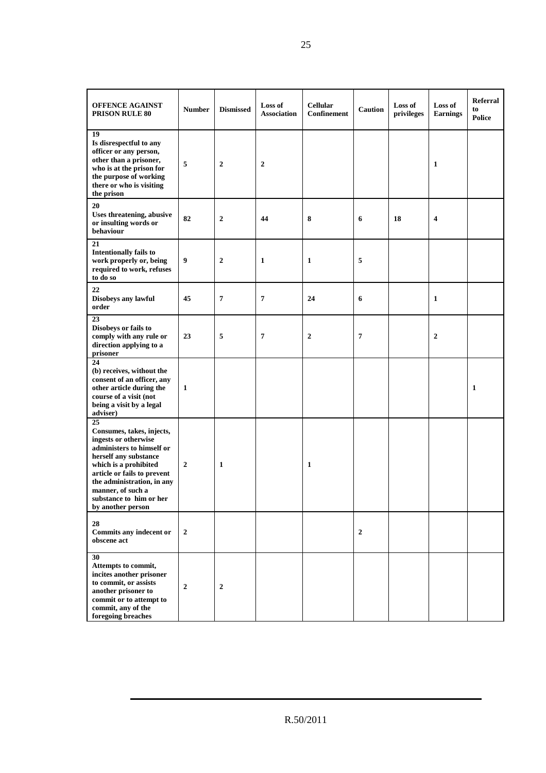| <b>OFFENCE AGAINST</b><br><b>PRISON RULE 80</b>                                                                                                                                                                                                                                       | <b>Number</b>  | <b>Dismissed</b> | Loss of<br><b>Association</b> | <b>Cellular</b><br>Confinement | <b>Caution</b> | Loss of<br>privileges | Loss of<br><b>Earnings</b> | Referral<br>to<br><b>Police</b> |
|---------------------------------------------------------------------------------------------------------------------------------------------------------------------------------------------------------------------------------------------------------------------------------------|----------------|------------------|-------------------------------|--------------------------------|----------------|-----------------------|----------------------------|---------------------------------|
| 19<br>Is disrespectful to any<br>officer or any person,<br>other than a prisoner,<br>who is at the prison for<br>the purpose of working<br>there or who is visiting<br>the prison                                                                                                     | 5              | $\overline{2}$   | $\mathbf{2}$                  |                                |                |                       | $\mathbf{1}$               |                                 |
| 20<br>Uses threatening, abusive<br>or insulting words or<br>behaviour                                                                                                                                                                                                                 | 82             | $\overline{2}$   | 44                            | 8                              | 6              | 18                    | $\overline{\mathbf{4}}$    |                                 |
| 21<br>Intentionally fails to<br>work properly or, being<br>required to work, refuses<br>to do so                                                                                                                                                                                      | 9              | $\overline{2}$   | 1                             | $\mathbf{1}$                   | 5              |                       |                            |                                 |
| 22<br>Disobeys any lawful<br>order                                                                                                                                                                                                                                                    | 45             | 7                | $\overline{7}$                | 24                             | 6              |                       | $\mathbf{1}$               |                                 |
| 23<br>Disobeys or fails to<br>comply with any rule or<br>direction applying to a<br>prisoner                                                                                                                                                                                          | 23             | $\sqrt{5}$       | $\overline{\mathbf{7}}$       | $\overline{2}$                 | $\overline{7}$ |                       | $\overline{2}$             |                                 |
| 24<br>(b) receives, without the<br>consent of an officer, any<br>other article during the<br>course of a visit (not<br>being a visit by a legal<br>adviser)                                                                                                                           | 1              |                  |                               |                                |                |                       |                            | $\mathbf{1}$                    |
| $\overline{25}$<br>Consumes, takes, injects,<br>ingests or otherwise<br>administers to himself or<br>herself any substance<br>which is a prohibited<br>article or fails to prevent<br>the administration, in any<br>manner, of such a<br>substance to him or her<br>by another person | $\overline{2}$ | $\mathbf{1}$     |                               | 1                              |                |                       |                            |                                 |
| 28<br>Commits any indecent or<br>obscene act                                                                                                                                                                                                                                          | $\overline{2}$ |                  |                               |                                | $\overline{2}$ |                       |                            |                                 |
| 30<br>Attempts to commit,<br>incites another prisoner<br>to commit, or assists<br>another prisoner to<br>commit or to attempt to<br>commit, any of the<br>foregoing breaches                                                                                                          | $\overline{2}$ | $\overline{2}$   |                               |                                |                |                       |                            |                                 |